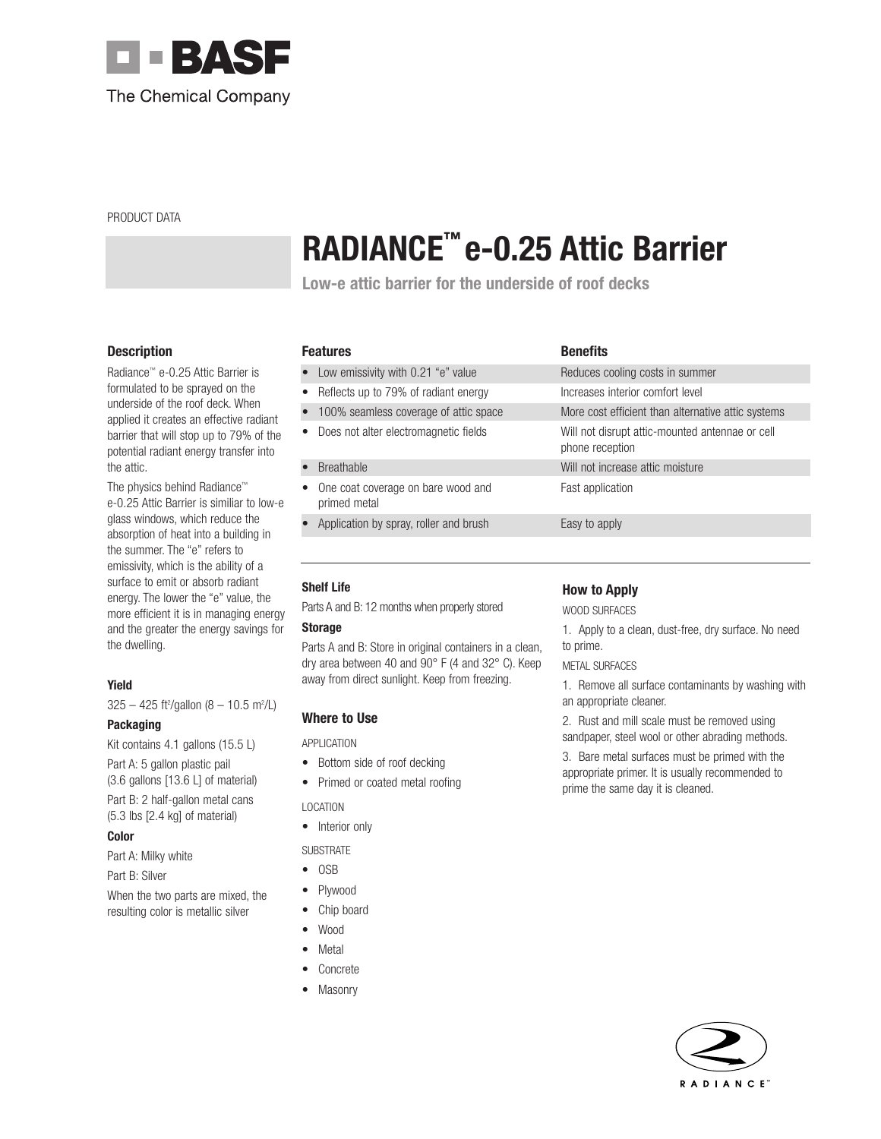

PRODUCT DATA

# **RADIANCE™ e-0.25 Attic Barrier**

**Low-e attic barrier for the underside of roof decks**

# **Description**

Radiance™ e-0.25 Attic Barrier is formulated to be sprayed on the underside of the roof deck. When applied it creates an effective radiant barrier that will stop up to 79% of the potential radiant energy transfer into the attic.

The physics behind Radiance™ e-0.25 Attic Barrier is similiar to low-e glass windows, which reduce the absorption of heat into a building in the summer. The "e" refers to emissivity, which is the ability of a surface to emit or absorb radiant energy. The lower the "e" value, the more efficient it is in managing energy and the greater the energy savings for the dwelling.

# **Yield**

 $325 - 425$  ft<sup>2</sup>/gallon (8 - 10.5 m<sup>2</sup>/L)

# **Packaging**

Kit contains 4.1 gallons (15.5 L) Part A: 5 gallon plastic pail (3.6 gallons [13.6 L] of material) Part B: 2 half-gallon metal cans (5.3 lbs [2.4 kg] of material)

# **Color**

Part A: Milky white

Part B: Silver

When the two parts are mixed, the resulting color is metallic silver

| <b>Features</b> | <b>Benefits</b> |
|-----------------|-----------------|
|                 |                 |

- Low emissivity with 0.21 "e" value Reduces cooling costs in summer
- Reflects up to 79% of radiant energy Increases interior comfort level
- 100% seamless coverage of attic space More cost efficient than alternative attic systems
- Does not alter electromagnetic fields Will not disrupt attic-mounted antennae or cell

## • Breathable Will not increase attic moisture

- One coat coverage on bare wood and Fast application primed metal
- Application by spray, roller and brush Easy to apply

# **Shelf Life**

Parts A and B: 12 months when properly stored

## **Storage**

Parts A and B: Store in original containers in a clean, dry area between 40 and 90° F (4 and 32° C). Keep away from direct sunlight. Keep from freezing.

# **Where to Use**

APPLICATION

- Bottom side of roof decking
- Primed or coated metal roofing

# LOCATION

• Interior only

# **SUBSTRATE**

- OSB
- Plywood
- Chip board
- Wood
- **Metal**
- **Concrete**
- Masonry

# **How to Apply**

phone reception

WOOD SURFACES

1. Apply to a clean, dust-free, dry surface. No need to prime.

## METAL SURFACES

1. Remove all surface contaminants by washing with an appropriate cleaner.

2. Rust and mill scale must be removed using sandpaper, steel wool or other abrading methods.

3. Bare metal surfaces must be primed with the appropriate primer. It is usually recommended to prime the same day it is cleaned.

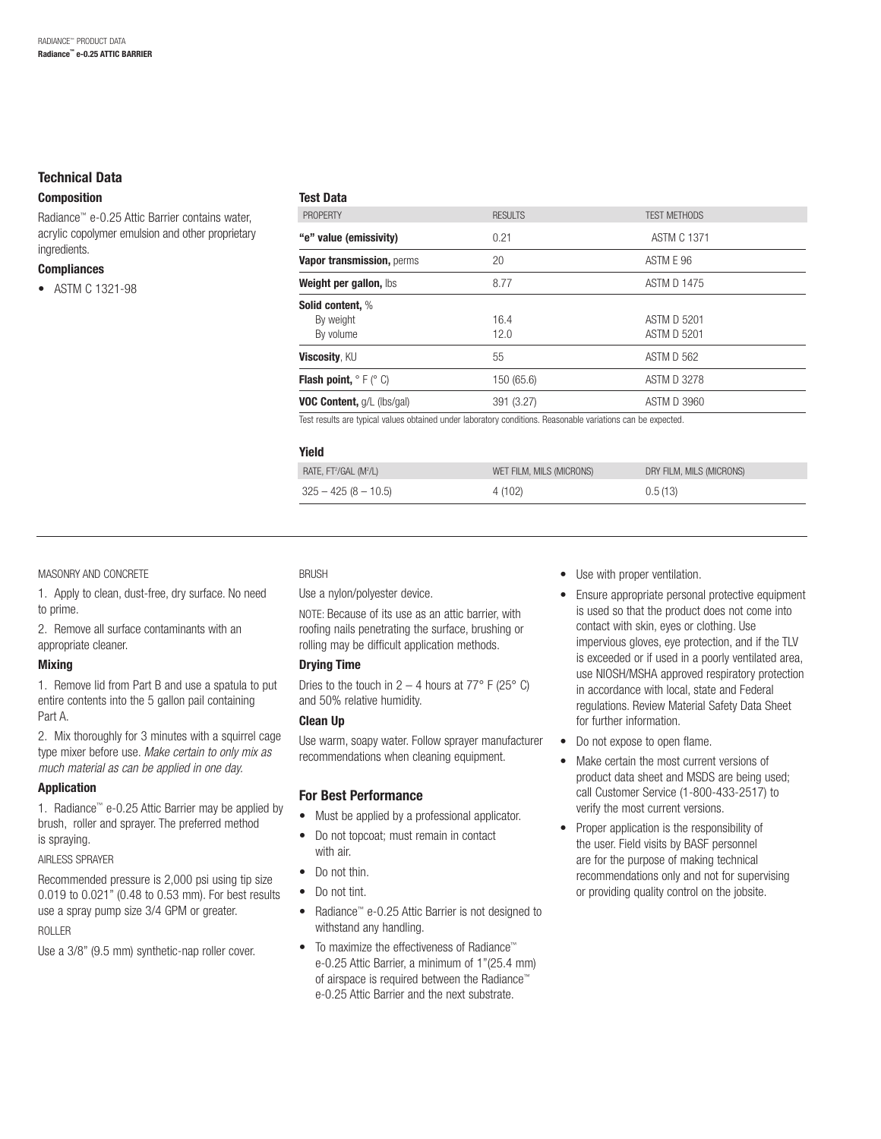# **Technical Data**

## **Composition**

Radiance™ e-0.25 Attic Barrier contains water, acrylic copolymer emulsion and other proprietary ingredients.

#### **Compliances**

• ASTM C 1321-98

| <b>PROPFRTY</b>                                                                                              | <b>RESULTS</b> | <b>TEST METHODS</b> |  |  |
|--------------------------------------------------------------------------------------------------------------|----------------|---------------------|--|--|
| "e" value (emissivity)                                                                                       | 0.21           | <b>ASTM C 1371</b>  |  |  |
| Vapor transmission, perms                                                                                    | 20             | ASTM E 96           |  |  |
| Weight per gallon, lbs                                                                                       | 8.77           | <b>ASTM D 1475</b>  |  |  |
| Solid content, %                                                                                             |                |                     |  |  |
| By weight                                                                                                    | 16.4           | ASTM D 5201         |  |  |
| By volume                                                                                                    | 12.0           | ASTM D 5201         |  |  |
| <b>Viscosity, KU</b>                                                                                         | 55             | <b>ASTM D 562</b>   |  |  |
| <b>Flash point, <math>^{\circ}</math> F (<math>^{\circ}</math> C)</b>                                        | 150 (65.6)     | <b>ASTM D 3278</b>  |  |  |
| <b>VOC Content, g/L (lbs/gal)</b>                                                                            | 391 (3.27)     | <b>ASTM D 3960</b>  |  |  |
| Test results are typical values obtained under laboratory conditions. Reasonable variations can be expected. |                |                     |  |  |

| Yield                                          |                          |                          |
|------------------------------------------------|--------------------------|--------------------------|
| RATE, FT <sup>2</sup> /GAL (M <sup>2</sup> /L) | WET FILM, MILS (MICRONS) | DRY FILM, MILS (MICRONS) |
| $325 - 425 (8 - 10.5)$                         | 4 (102)                  | 0.5(13)                  |
|                                                |                          |                          |

#### MASONRY AND CONCRETE

1. Apply to clean, dust-free, dry surface. No need to prime.

2. Remove all surface contaminants with an appropriate cleaner.

## **Mixing**

1. Remove lid from Part B and use a spatula to put entire contents into the 5 gallon pail containing Part A.

2. Mix thoroughly for 3 minutes with a squirrel cage type mixer before use. Make certain to only mix as much material as can be applied in one day.

## **Application**

1. Radiance™ e-0.25 Attic Barrier may be applied by brush, roller and sprayer. The preferred method is spraying.

#### AIRLESS SPRAYER

Recommended pressure is 2,000 psi using tip size 0.019 to 0.021" (0.48 to 0.53 mm). For best results use a spray pump size 3/4 GPM or greater.

# ROLLER

Use a 3/8" (9.5 mm) synthetic-nap roller cover.

#### **BRUSH**

**Test Data**

Use a nylon/polyester device.

NOTE: Because of its use as an attic barrier, with roofing nails penetrating the surface, brushing or rolling may be difficult application methods.

# **Drying Time**

Dries to the touch in  $2 - 4$  hours at  $77^\circ$  F ( $25^\circ$  C) and 50% relative humidity.

## **Clean Up**

Use warm, soapy water. Follow sprayer manufacturer recommendations when cleaning equipment.

# **For Best Performance**

- Must be applied by a professional applicator.
- Do not topcoat; must remain in contact with air.
- Do not thin.
- Do not tint.
- Radiance™ e-0.25 Attic Barrier is not designed to withstand any handling.
- To maximize the effectiveness of Radiance™ e-0.25 Attic Barrier, a minimum of 1"(25.4 mm) of airspace is required between the Radiance™ e-0.25 Attic Barrier and the next substrate.
- Use with proper ventilation.
- Ensure appropriate personal protective equipment is used so that the product does not come into contact with skin, eyes or clothing. Use impervious gloves, eye protection, and if the TLV is exceeded or if used in a poorly ventilated area, use NIOSH/MSHA approved respiratory protection in accordance with local, state and Federal regulations. Review Material Safety Data Sheet for further information.
- Do not expose to open flame.
- Make certain the most current versions of product data sheet and MSDS are being used; call Customer Service (1-800-433-2517) to verify the most current versions.
- Proper application is the responsibility of the user. Field visits by BASF personnel are for the purpose of making technical recommendations only and not for supervising or providing quality control on the jobsite.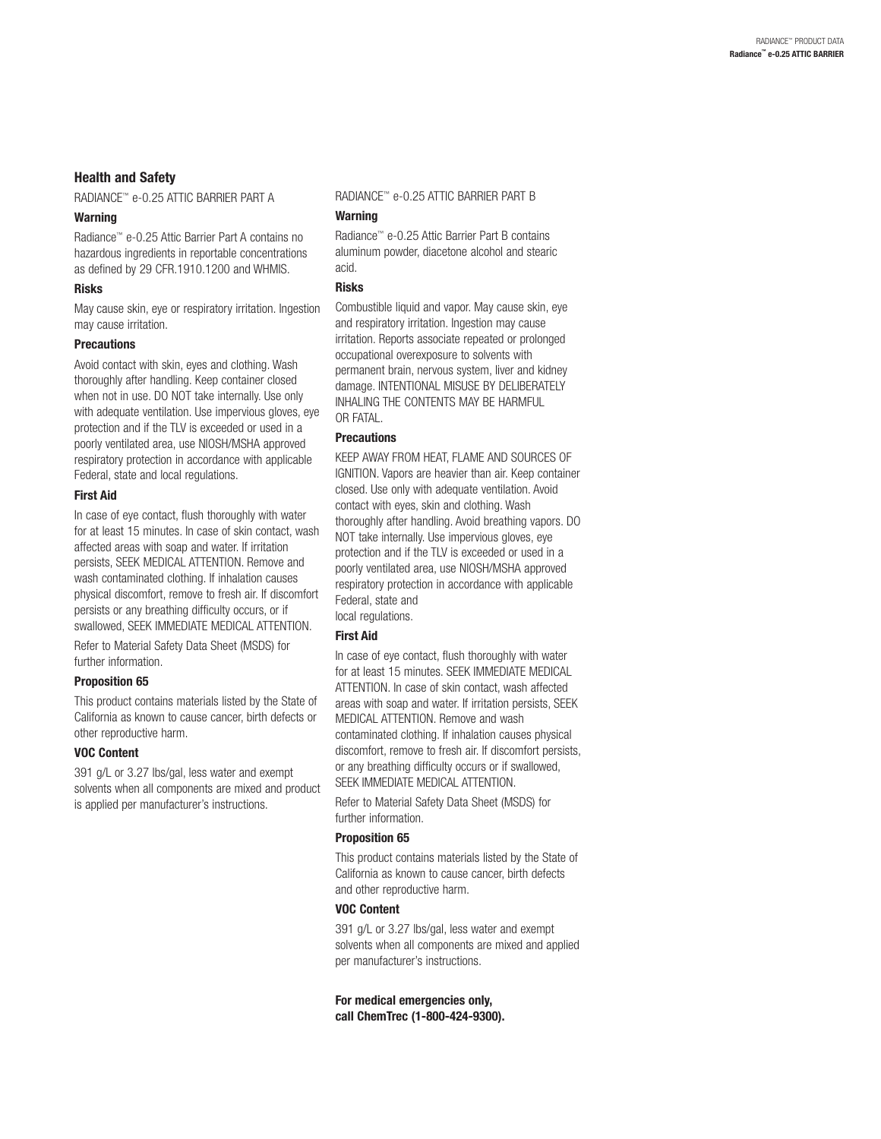# **Health and Safety**

RADIANCE™ e-0.25 ATTIC BARRIER PART A

## **Warning**

Radiance™ e-0.25 Attic Barrier Part A contains no hazardous ingredients in reportable concentrations as defined by 29 CFR.1910.1200 and WHMIS.

## **Risks**

May cause skin, eye or respiratory irritation. Ingestion may cause irritation.

#### **Precautions**

Avoid contact with skin, eyes and clothing. Wash thoroughly after handling. Keep container closed when not in use. DO NOT take internally. Use only with adequate ventilation. Use impervious gloves, eye protection and if the TLV is exceeded or used in a poorly ventilated area, use NIOSH/MSHA approved respiratory protection in accordance with applicable Federal, state and local regulations.

#### **First Aid**

In case of eye contact, flush thoroughly with water for at least 15 minutes. In case of skin contact, wash affected areas with soap and water. If irritation persists, SEEK MEDICAL ATTENTION. Remove and wash contaminated clothing. If inhalation causes physical discomfort, remove to fresh air. If discomfort persists or any breathing difficulty occurs, or if swallowed, SEEK IMMEDIATE MEDICAL ATTENTION.

Refer to Material Safety Data Sheet (MSDS) for further information.

## **Proposition 65**

This product contains materials listed by the State of California as known to cause cancer, birth defects or other reproductive harm.

#### **VOC Content**

391 g/L or 3.27 lbs/gal, less water and exempt solvents when all components are mixed and product is applied per manufacturer's instructions.

RADIANCE™ e-0.25 ATTIC BARRIER PART B

## **Warning**

Radiance™ e-0.25 Attic Barrier Part B contains aluminum powder, diacetone alcohol and stearic acid.

## **Risks**

Combustible liquid and vapor. May cause skin, eye and respiratory irritation. Ingestion may cause irritation. Reports associate repeated or prolonged occupational overexposure to solvents with permanent brain, nervous system, liver and kidney damage. INTENTIONAL MISUSE BY DELIBERATELY INHALING THE CONTENTS MAY BE HARMFUL OR FATAL.

## **Precautions**

KEEP AWAY FROM HEAT, FLAME AND SOURCES OF IGNITION. Vapors are heavier than air. Keep container closed. Use only with adequate ventilation. Avoid contact with eyes, skin and clothing. Wash thoroughly after handling. Avoid breathing vapors. DO NOT take internally. Use impervious gloves, eye protection and if the TLV is exceeded or used in a poorly ventilated area, use NIOSH/MSHA approved respiratory protection in accordance with applicable Federal, state and local regulations.

## **First Aid**

In case of eye contact, flush thoroughly with water for at least 15 minutes. SEEK IMMEDIATE MEDICAL ATTENTION. In case of skin contact, wash affected areas with soap and water. If irritation persists, SEEK MEDICAL ATTENTION. Remove and wash contaminated clothing. If inhalation causes physical discomfort, remove to fresh air. If discomfort persists, or any breathing difficulty occurs or if swallowed, SEEK IMMEDIATE MEDICAL ATTENTION.

Refer to Material Safety Data Sheet (MSDS) for further information.

## **Proposition 65**

This product contains materials listed by the State of California as known to cause cancer, birth defects and other reproductive harm.

# **VOC Content**

391 g/L or 3.27 lbs/gal, less water and exempt solvents when all components are mixed and applied per manufacturer's instructions.

**For medical emergencies only, call ChemTrec (1-800-424-9300).**